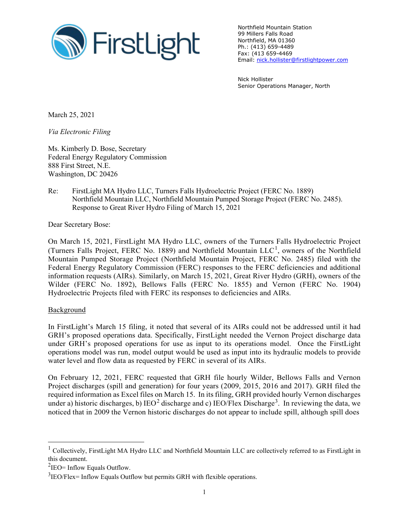

Northfield Mountain Station 99 Millers Falls Road Northfield, MA 01360 Ph.: (413) 659-4489 Fax: (413 659-4469 Email: nick.hollister@firstlightpower.com

Nick Hollister Senior Operations Manager, North

March 25, 2021

*Via Electronic Filing*

Ms. Kimberly D. Bose, Secretary Federal Energy Regulatory Commission 888 First Street, N.E. Washington, DC 20426

Re: FirstLight MA Hydro LLC, Turners Falls Hydroelectric Project (FERC No. 1889) Northfield Mountain LLC, Northfield Mountain Pumped Storage Project (FERC No. 2485). Response to Great River Hydro Filing of March 15, 2021

Dear Secretary Bose:

On March 15, 2021, FirstLight MA Hydro LLC, owners of the Turners Falls Hydroelectric Project (Turners Falls Project, FERC No. 1889) and Northfield Mountain  $LLC<sup>1</sup>$ , owners of the Northfield Mountain Pumped Storage Project (Northfield Mountain Project, FERC No. 2485) filed with the Federal Energy Regulatory Commission (FERC) responses to the FERC deficiencies and additional information requests (AIRs). Similarly, on March 15, 2021, Great River Hydro (GRH), owners of the Wilder (FERC No. 1892), Bellows Falls (FERC No. 1855) and Vernon (FERC No. 1904) Hydroelectric Projects filed with FERC its responses to deficiencies and AIRs.

## **Background**

In FirstLight's March 15 filing, it noted that several of its AIRs could not be addressed until it had GRH's proposed operations data. Specifically, FirstLight needed the Vernon Project discharge data under GRH's proposed operations for use as input to its operations model. Once the FirstLight operations model was run, model output would be used as input into its hydraulic models to provide water level and flow data as requested by FERC in several of its AIRs.

On February 12, 2021, FERC requested that GRH file hourly Wilder, Bellows Falls and Vernon Project discharges (spill and generation) for four years (2009, 2015, 2016 and 2017). GRH filed the required information as Excel files on March 15. In its filing, GRH provided hourly Vernon discharges under a) historic discharges, b) IEO<sup>2</sup> discharge and c) IEO/Flex Discharge<sup>3</sup>. In reviewing the data, we noticed that in 2009 the Vernon historic discharges do not appear to include spill, although spill does

 $1$  Collectively, FirstLight MA Hydro LLC and Northfield Mountain LLC are collectively referred to as FirstLight in this document.

 $2$ IEO= Inflow Equals Outflow.

 $3$ IEO/Flex= Inflow Equals Outflow but permits GRH with flexible operations.